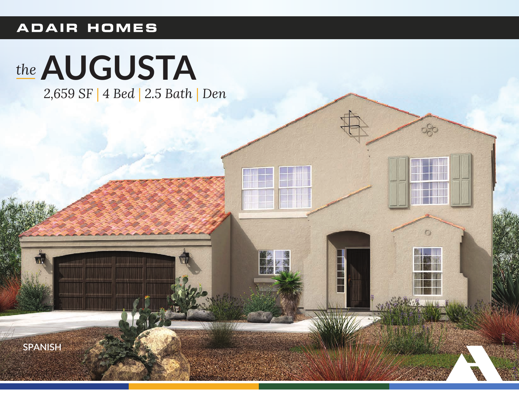## **ADAIR HOMES**

## the AUGUSTA

2,659 SF | 4 Bed | 2.5 Bath | Den

 $-350$ 

 $\circ$ 

**SPANISH**